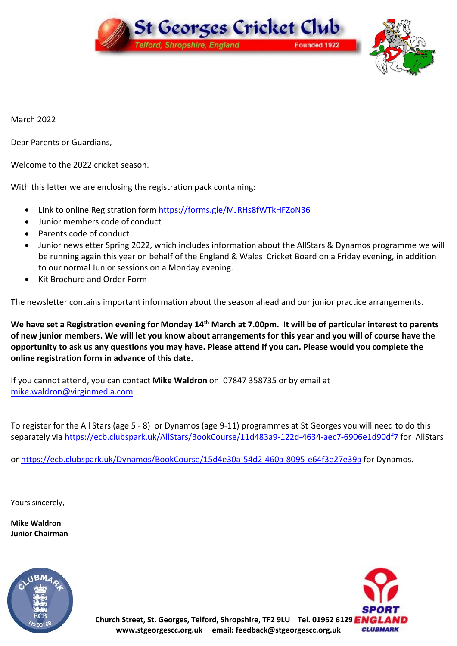

March 2022

Dear Parents or Guardians,

Welcome to the 2022 cricket season.

With this letter we are enclosing the registration pack containing:

- Link to online Registration form <https://forms.gle/MJRHs8fWTkHFZoN36>
- Junior members code of conduct
- Parents code of conduct
- Junior newsletter Spring 2022, which includes information about the AllStars & Dynamos programme we will be running again this year on behalf of the England & Wales Cricket Board on a Friday evening, in addition to our normal Junior sessions on a Monday evening.
- Kit Brochure and Order Form

The newsletter contains important information about the season ahead and our junior practice arrangements.

We have set a Registration evening for Monday 14<sup>th</sup> March at 7.00pm. It will be of particular interest to parents of new junior members. We will let you know about arrangements for this year and you will of course have the opportunity to ask us any questions you may have. Please attend if you can. Please would you complete the **online registration form in advance of this date.**

If you cannot attend, you can contact **Mike Waldron** on 07847 358735 or by email at [mike.waldron@virginmedia.com](mailto:mike.waldron@virginmedia.com)

To register for the All Stars (age 5 - 8) or Dynamos (age 9-11) programmes at St Georges you will need to do this separately via <https://ecb.clubspark.uk/AllStars/BookCourse/11d483a9-122d-4634-aec7-6906e1d90df7> for AllStars

or <https://ecb.clubspark.uk/Dynamos/BookCourse/15d4e30a-54d2-460a-8095-e64f3e27e39a> for Dynamos.

Yours sincerely,

**Mike Waldron Junior Chairman**



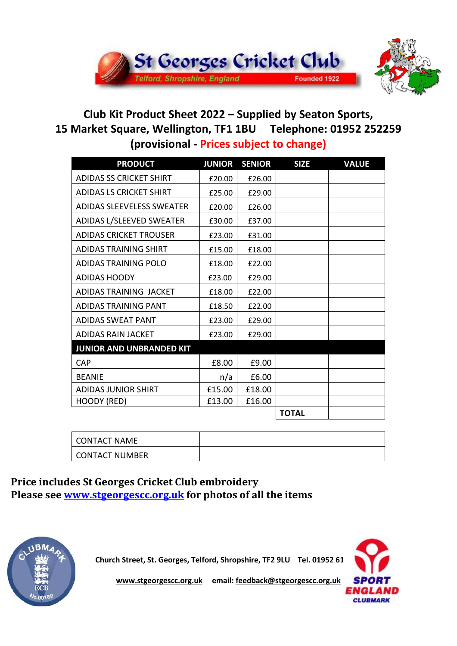

# **Club Kit Product Sheet 2022 – Supplied by Seaton Sports, 15 Market Square, Wellington, TF1 1BU Telephone: 01952 252259 (provisional - Prices subject to change)**

| <b>PRODUCT</b>                   | <b>JUNIOR</b> | <b>SENIOR</b> | <b>SIZE</b>  | <b>VALUE</b> |
|----------------------------------|---------------|---------------|--------------|--------------|
| <b>ADIDAS SS CRICKET SHIRT</b>   | £20.00        | £26.00        |              |              |
| <b>ADIDAS LS CRICKET SHIRT</b>   | £25.00        | £29.00        |              |              |
| <b>ADIDAS SLEEVELESS SWEATER</b> | £20.00        | £26.00        |              |              |
| ADIDAS L/SLEEVED SWEATER         | £30.00        | £37.00        |              |              |
| <b>ADIDAS CRICKET TROUSER</b>    | £23.00        | £31.00        |              |              |
| <b>ADIDAS TRAINING SHIRT</b>     | £15.00        | £18.00        |              |              |
| <b>ADIDAS TRAINING POLO</b>      | £18.00        | £22.00        |              |              |
| <b>ADIDAS HOODY</b>              | £23.00        | £29.00        |              |              |
| ADIDAS TRAINING JACKET           | £18.00        | £22.00        |              |              |
| ADIDAS TRAINING PANT             | £18.50        | £22.00        |              |              |
| <b>ADIDAS SWEAT PANT</b>         | £23.00        | £29.00        |              |              |
| ADIDAS RAIN JACKET               | £23.00        | £29.00        |              |              |
| <b>JUNIOR AND UNBRANDED KIT</b>  |               |               |              |              |
| <b>CAP</b>                       | £8.00         | £9.00         |              |              |
| <b>BEANIE</b>                    | n/a           | £6.00         |              |              |
| ADIDAS JUNIOR SHIRT              | £15.00        | £18.00        |              |              |
| HOODY (RED)                      | £13.00        | £16.00        |              |              |
|                                  |               |               | <b>TOTAL</b> |              |

| <b>CONTACT NAME</b>   |  |
|-----------------------|--|
| <b>CONTACT NUMBER</b> |  |

**Price includes St Georges Cricket Club embroidery Please see [www.stgeorgescc.org.uk](http://www.stgeorgescc.org.uk) for photos of all the items**



**Church Street, St. Georges, Telford, Shropshire, TF2 9LU Tel. 01952 61** 



**[www.stgeorgescc.org.uk](http://www.stgeorgescc.org.uk) email: [feedback@stgeorgescc.org.uk](mailto:feedback@stgeorgescc.org.uk)**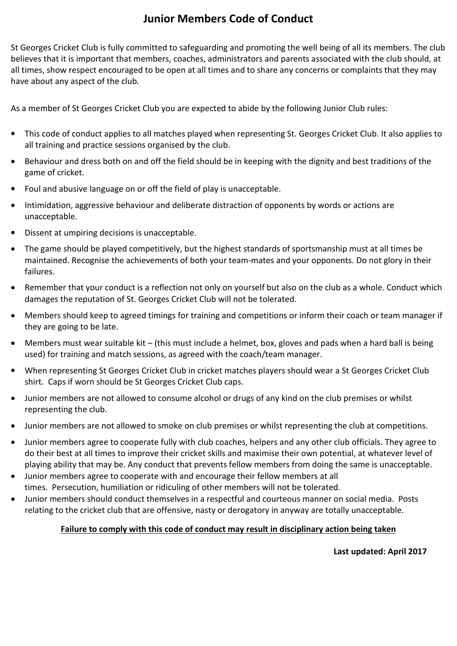## **Junior Members Code of Conduct**

St Georges Cricket Club is fully committed to safeguarding and promoting the well being of all its members. The club believes that it is important that members, coaches, administrators and parents associated with the club should, at all times, show respect encouraged to be open at all times and to share any concerns or complaints that they may have about any aspect of the club*.*

As a member of St Georges Cricket Club you are expected to abide by the following Junior Club rules:

- This code of conduct applies to all matches played when representing St. Georges Cricket Club. It also applies to all training and practice sessions organised by the club.
- Behaviour and dress both on and off the field should be in keeping with the dignity and best traditions of the game of cricket.
- Foul and abusive language on or off the field of play is unacceptable.
- Intimidation, aggressive behaviour and deliberate distraction of opponents by words or actions are unacceptable.
- Dissent at umpiring decisions is unacceptable.
- The game should be played competitively, but the highest standards of sportsmanship must at all times be maintained. Recognise the achievements of both your team-mates and your opponents. Do not glory in their failures.
- Remember that your conduct is a reflection not only on yourself but also on the club as a whole. Conduct which damages the reputation of St. Georges Cricket Club will not be tolerated.
- Members should keep to agreed timings for training and competitions or inform their coach or team manager if they are going to be late.
- Members must wear suitable kit (this must include a helmet, box, gloves and pads when a hard ball is being used) for training and match sessions, as agreed with the coach/team manager.
- When representing St Georges Cricket Club in cricket matches players should wear a St Georges Cricket Club shirt. Caps if worn should be St Georges Cricket Club caps.
- Junior members are not allowed to consume alcohol or drugs of any kind on the club premises or whilst representing the club.
- Junior members are not allowed to smoke on club premises or whilst representing the club at competitions.
- Junior members agree to cooperate fully with club coaches, helpers and any other club officials. They agree to do their best at all times to improve their cricket skills and maximise their own potential, at whatever level of playing ability that may be. Any conduct that prevents fellow members from doing the same is unacceptable.
- Junior members agree to cooperate with and encourage their fellow members atall times. Persecution, humiliation or ridiculing of other members will not be tolerated.
- Junior members should conduct themselves in a respectful and courteous manner on social media. Posts relating to the cricket club that are offensive, nasty or derogatory in anyway are totally unacceptable.

#### **Failure to comply with this code of conduct may result in disciplinary action being taken**

**Last updated: April 2017**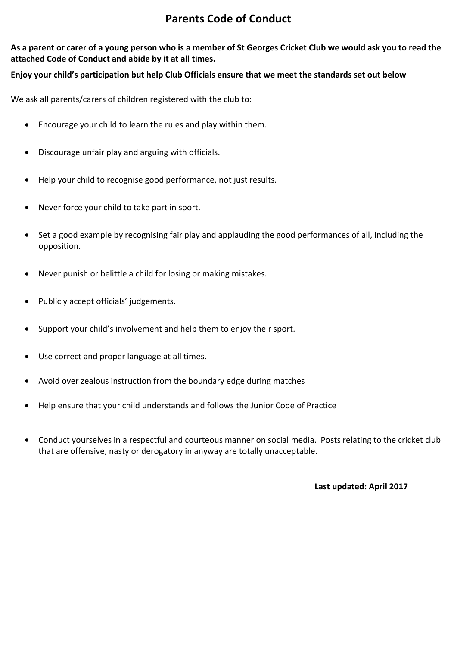## **Parents Code of Conduct**

As a parent or carer of a young person who is a member of St Georges Cricket Club we would ask you to read the **attached Code of Conduct and abide by it at all times.**

#### **Enjoy your child's participation but help Club Officials ensure that we meet the standards set out below**

We ask all parents/carers of children registered with the club to:

- Encourage your child to learn the rules and play within them.
- Discourage unfair play and arguing with officials.
- Help your child to recognise good performance, not just results.
- Never force your child to take part in sport.
- Set a good example by recognising fair play and applauding the good performances of all, including the opposition.
- Never punish or belittle a child for losing or making mistakes.
- Publicly accept officials' judgements.
- Support your child's involvement and help them to enjoy their sport.
- Use correct and proper language at all times.
- Avoid over zealous instruction from the boundary edge during matches
- Help ensure that your child understands and follows the Junior Code of Practice
- Conduct yourselves in a respectful and courteous manner on social media. Posts relating to the cricket club that are offensive, nasty or derogatory in anyway are totally unacceptable.

**Last updated: April 2017**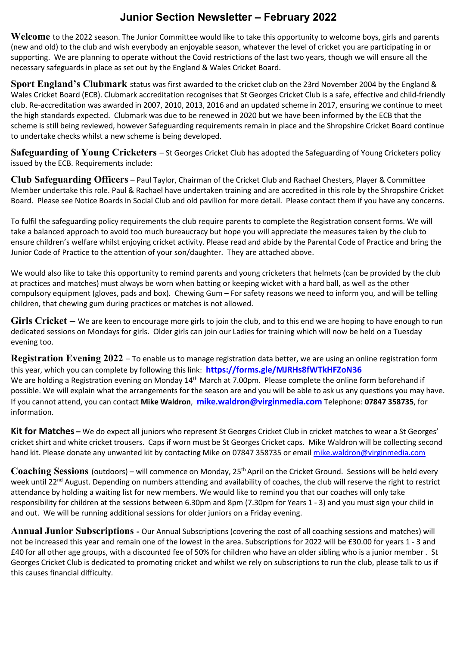### **Junior Section Newsletter – February 2022**

**Welcome** to the 2022 season. The Junior Committee would like to take this opportunity to welcome boys, girls and parents (new and old) to the club and wish everybody an enjoyable season, whatever the level of cricket you are participating in or supporting. We are planning to operate without the Covid restrictions of the last two years, though we will ensure all the necessary safeguards in place as set out by the England & Wales Cricket Board.

**Sport England's Clubmark** status was first awarded to the cricket club on the 23rd November 2004 by the England & Wales Cricket Board (ECB). Clubmark accreditation recognises that St Georges Cricket Club is a safe, effective and child-friendly club. Re-accreditation was awarded in 2007, 2010, 2013, 2016 and an updated scheme in 2017, ensuring we continue to meet the high standards expected. Clubmark was due to be renewed in 2020 but we have been informed by the ECB that the scheme is still being reviewed, however Safeguarding requirements remain in place and the Shropshire Cricket Board continue to undertake checks whilst a new scheme is being developed.

**Safeguarding of Young Cricketers** – St Georges Cricket Club has adopted the Safeguarding of Young Cricketers policy issued by the ECB. Requirements include:

**Club Safeguarding Officers** – Paul Taylor, Chairman of the CricketClub and Rachael Chesters, Player & Committee Member undertake this role. Paul & Rachael have undertaken training and are accredited in this role by the Shropshire Cricket Board. Please see Notice Boards in Social Club and old pavilion for more detail. Please contact them if you have any concerns.

To fulfil the safeguarding policy requirements the club require parents to complete the Registration consent forms. We will take a balanced approach to avoid too much bureaucracy but hope you will appreciate the measures taken by the club to ensure children's welfare whilst enjoying cricket activity. Please read and abide by the Parental Code of Practice and bring the Junior Code of Practice to the attention of your son/daughter. They are attached above.

We would also like to take this opportunity to remind parents and young cricketers that helmets (can be provided by the club at practices and matches) must always be worn when batting or keeping wicket with a hard ball, as well as the other compulsory equipment (gloves, pads and box). Chewing Gum – For safety reasons we need to inform you, and will be telling children, that chewing gum during practices or matches is not allowed.

**Girls Cricket –** We are keen to encourage more girls to join the club, and to this end we are hoping to have enough to run dedicated sessions on Mondays for girls. Older girls can join our Ladies for training which will now be held on a Tuesday evening too.

**Registration Evening 2022** – To enable us to manage registration data better, we are using an online registration form this year, which you can complete by following this link: **[https://forms.gle/MJRHs8fWTkHFZoN36](Junior Registration 2022.docx)** We are holding a Registration evening on Monday 14<sup>th</sup> March at 7.00pm. Please complete the online form beforehand if possible. We will explain what the arrangements for the season are and you will be able to ask us any questions you may have. If you cannot attend, you can contact **Mike Waldron**, **[mike.waldron@virginmedia.com](mailto:mike.waldron@virginmedia.com)** Telephone: **07847 358735**, for information.

**Kit for Matches –** We do expect all juniors who represent St Georges Cricket Club in cricket matches to wear a St Georges' cricket shirt and white cricket trousers. Caps if worn must be St Georges Cricket caps. Mike Waldron will be collecting second hand kit. Please donate any unwanted kit by contacting Mike on 07847 358735 or email [mike.waldron@virginmedia.com](mailto:mike.waldron@virginmedia.com)

Coaching Sessions (outdoors) – will commence on Monday, 25<sup>th</sup> April on the Cricket Ground. Sessions will be held every week until 22<sup>nd</sup> August. Depending on numbers attending and availability of coaches, the club will reserve the right to restrict attendance by holding a waiting list for new members. We would like to remind you that our coaches will only take responsibility for children at the sessions between 6.30pm and 8pm (7.30pm for Years 1 - 3) and you must sign your child in and out. We will be running additional sessions for older juniors on a Friday evening.

**Annual Junior Subscriptions -** Our Annual Subscriptions (covering the cost of all coaching sessions and matches) will not be increased this year and remain one of the lowest in the area. Subscriptions for 2022 will be £30.00 for years 1 - 3 and £40 for all other age groups, with a discounted fee of 50% for children who have an older sibling who is a junior member . St Georges Cricket Club is dedicated to promoting cricket and whilst we rely on subscriptions to run the club, please talk to us if this causes financial difficulty.